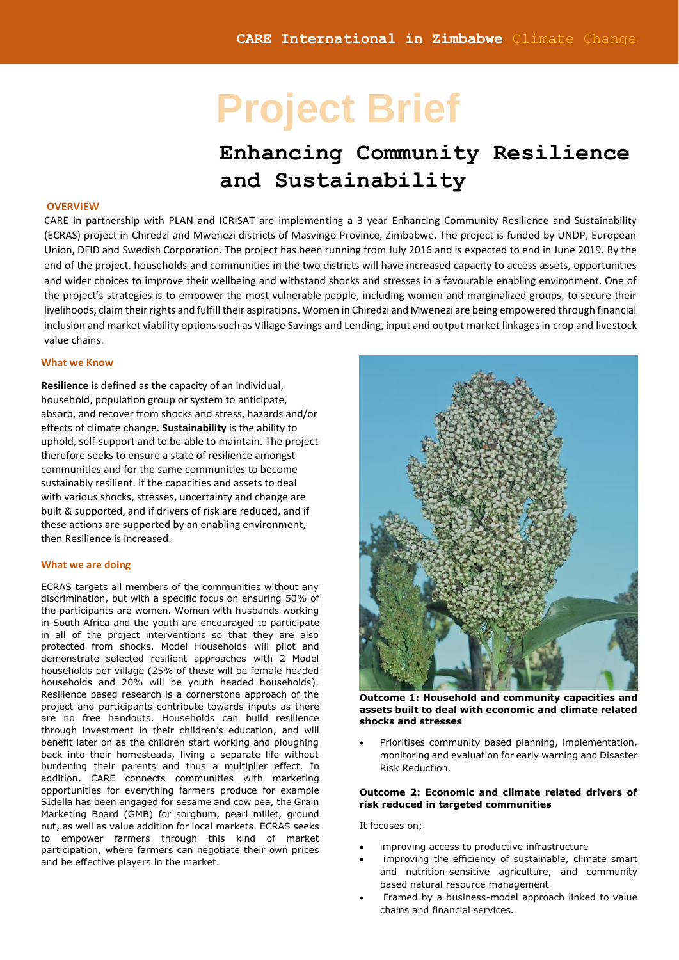# **Project Brief**

## **Enhancing Community Resilience and Sustainability**

#### **OVERVIEW**

CARE in partnership with PLAN and ICRISAT are implementing a 3 year Enhancing Community Resilience and Sustainability (ECRAS) project in Chiredzi and Mwenezi districts of Masvingo Province, Zimbabwe. The project is funded by UNDP, European Union, DFID and Swedish Corporation. The project has been running from July 2016 and is expected to end in June 2019. By the end of the project, households and communities in the two districts will have increased capacity to access assets, opportunities and wider choices to improve their wellbeing and withstand shocks and stresses in a favourable enabling environment. One of the project's strategies is to empower the most vulnerable people, including women and marginalized groups, to secure their livelihoods, claim their rights and fulfill their aspirations. Women in Chiredzi and Mwenezi are being empowered through financial inclusion and market viability options such as Village Savings and Lending, input and output market linkages in crop and livestock value chains.

#### **What we Know**

**Resilience** is defined as the capacity of an individual, household, population group or system to anticipate, absorb, and recover from shocks and stress, hazards and/or effects of climate change. **Sustainability** is the ability to uphold, self-support and to be able to maintain. The project therefore seeks to ensure a state of resilience amongst communities and for the same communities to become sustainably resilient. If the capacities and assets to deal with various shocks, stresses, uncertainty and change are built & supported, and if drivers of risk are reduced, and if these actions are supported by an enabling environment, then Resilience is increased.

#### **What we are doing**

ECRAS targets all members of the communities without any discrimination, but with a specific focus on ensuring 50% of the participants are women. Women with husbands working in South Africa and the youth are encouraged to participate in all of the project interventions so that they are also protected from shocks. Model Households will pilot and demonstrate selected resilient approaches with 2 Model households per village (25% of these will be female headed households and 20% will be youth headed households). Resilience based research is a cornerstone approach of the project and participants contribute towards inputs as there are no free handouts. Households can build resilience through investment in their children's education, and will benefit later on as the children start working and ploughing back into their homesteads, living a separate life without burdening their parents and thus a multiplier effect. In addition, CARE connects communities with marketing opportunities for everything farmers produce for example SIdella has been engaged for sesame and cow pea, the Grain Marketing Board (GMB) for sorghum, pearl millet, ground nut, as well as value addition for local markets. ECRAS seeks to empower farmers through this kind of market participation, where farmers can negotiate their own prices and be effective players in the market.



**Outcome 1: Household and community capacities and assets built to deal with economic and climate related shocks and stresses** 

Prioritises community based planning, implementation, monitoring and evaluation for early warning and Disaster Risk Reduction.

#### **Outcome 2: Economic and climate related drivers of risk reduced in targeted communities**

It focuses on;

- improving access to productive infrastructure
- improving the efficiency of sustainable, climate smart and nutrition-sensitive agriculture, and community based natural resource management
- Framed by a business-model approach linked to value chains and financial services.